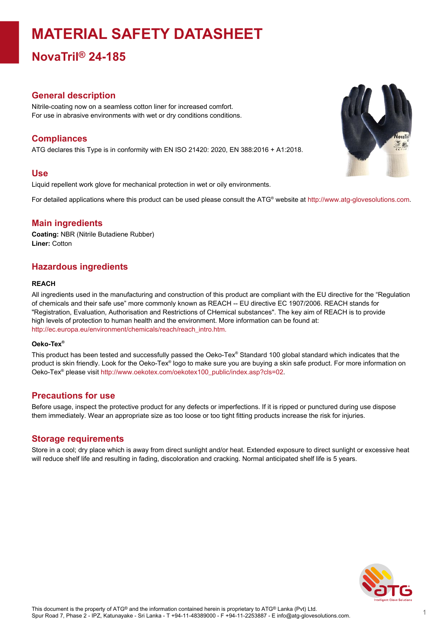# **MATERIAL SAFETY DATASHEET**

**NovaTril® 24-185**

## **General description**

Nitrile-coating now on a seamless cotton liner for increased comfort. For use in abrasive environments with wet or dry conditions conditions.

## **Compliances**

ATG declares this Type is in conformity with EN ISO 21420: 2020, EN 388:2016 + A1:2018.

### **Use**

Liquid repellent work glove for mechanical protection in wet or oily environments.

For detailed applications where this product can be used please consult the ATG® website at http://www.atg-glovesolutions.com.

## **Main ingredients**

**Coating:** NBR (Nitrile Butadiene Rubber) **Liner:** Cotton

# **Hazardous ingredients**

#### **REACH**

All ingredients used in the manufacturing and construction of this product are compliant with the EU directive for the "Regulation of chemicals and their safe use" more commonly known as REACH -- EU directive EC 1907/2006. REACH stands for "Registration, Evaluation, Authorisation and Restrictions of CHemical substances". The key aim of REACH is to provide high levels of protection to human health and the environment. More information can be found at: [http://ec.europa.eu/environment/chemicals/reach/reach\\_intro.htm.](http://ec.europa.eu/environment/chemicals/reach/reach_intro.htm.)

#### **Oeko-Tex ®**

This product has been tested and successfully passed the Oeko-Tex® Standard 100 global standard which indicates that the product is skin friendly. Look for the Oeko-Tex® logo to make sure you are buying a skin safe product. For more information on Oeko-Tex® please visit [http://www.oekotex.com/oekotex100\\_public/index.asp?cls=02.](http://www.oekotex.com/oekotex100_public/index.asp?cls=02)

## **Precautions for use**

Before usage, inspect the protective product for any defects or imperfections. If it is ripped or punctured during use dispose them immediately. Wear an appropriate size as too loose or too tight fitting products increase the risk for injuries.

## **Storage requirements**

Store in a cool; dry place which is away from direct sunlight and/or heat. Extended exposure to direct sunlight or excessive heat will reduce shelf life and resulting in fading, discoloration and cracking. Normal anticipated shelf life is 5 years.